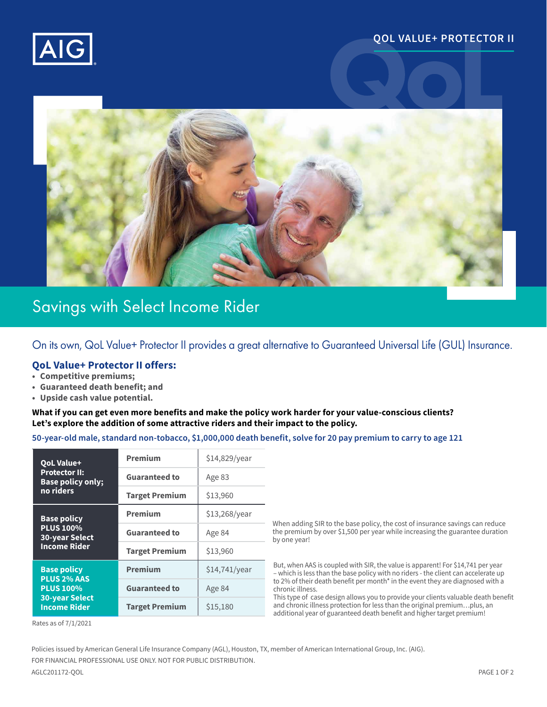

# **QOL VALUE+ PROTECTOR II**



# Savings with Select Income Rider

On its own, QoL Value+ Protector II provides a great alternative to Guaranteed Universal Life (GUL) Insurance.

## **QoL Value+ Protector II offers:**

- **• Competitive premiums;**
- **• Guaranteed death benefit; and**
- **• Upside cash value potential.**

#### **What if you can get even more benefits and make the policy work harder for your value-conscious clients? Let's explore the addition of some attractive riders and their impact to the policy.**

#### **50-year-old male, standard non-tobacco, \$1,000,000 death benefit, solve for 20 pay premium to carry to age 121**

| <b>QoL Value+</b><br><b>Protector II:</b><br><b>Base policy only:</b><br>no riders                           | <b>Premium</b>        | \$14,829/year |
|--------------------------------------------------------------------------------------------------------------|-----------------------|---------------|
|                                                                                                              | <b>Guaranteed to</b>  | Age 83        |
|                                                                                                              | <b>Target Premium</b> | \$13,960      |
| <b>Base policy</b><br><b>PLUS 100%</b><br><b>30-year Select</b><br><b>Income Rider</b>                       | <b>Premium</b>        | \$13,268/year |
|                                                                                                              | <b>Guaranteed to</b>  | Age 84        |
|                                                                                                              | <b>Target Premium</b> | \$13,960      |
| <b>Base policy</b><br><b>PLUS 2% AAS</b><br><b>PLUS 100%</b><br><b>30-year Select</b><br><b>Income Rider</b> | <b>Premium</b>        | \$14,741/year |
|                                                                                                              | <b>Guaranteed to</b>  | Age 84        |
|                                                                                                              | <b>Target Premium</b> | \$15,180      |

When adding SIR to the base policy, the cost of insurance savings can reduce the premium by over \$1,500 per year while increasing the guarantee duration by one year!

But, when AAS is coupled with SIR, the value is apparent! For \$14,741 per year – which is less than the base policy with no riders - the client can accelerate up to 2% of their death benefit per month<sup>\*</sup> in the event they are diagnosed with a chronic illness.

This type of case design allows you to provide your clients valuable death benefit and chronic illness protection for less than the original premium…plus, an additional year of guaranteed death benefit and higher target premium!

Rates as of 7/1/2021

Policies issued by American General Life Insurance Company (AGL), Houston, TX, member of American International Group, Inc. (AIG).

FOR FINANCIAL PROFESSIONAL USE ONLY. NOT FOR PUBLIC DISTRIBUTION.